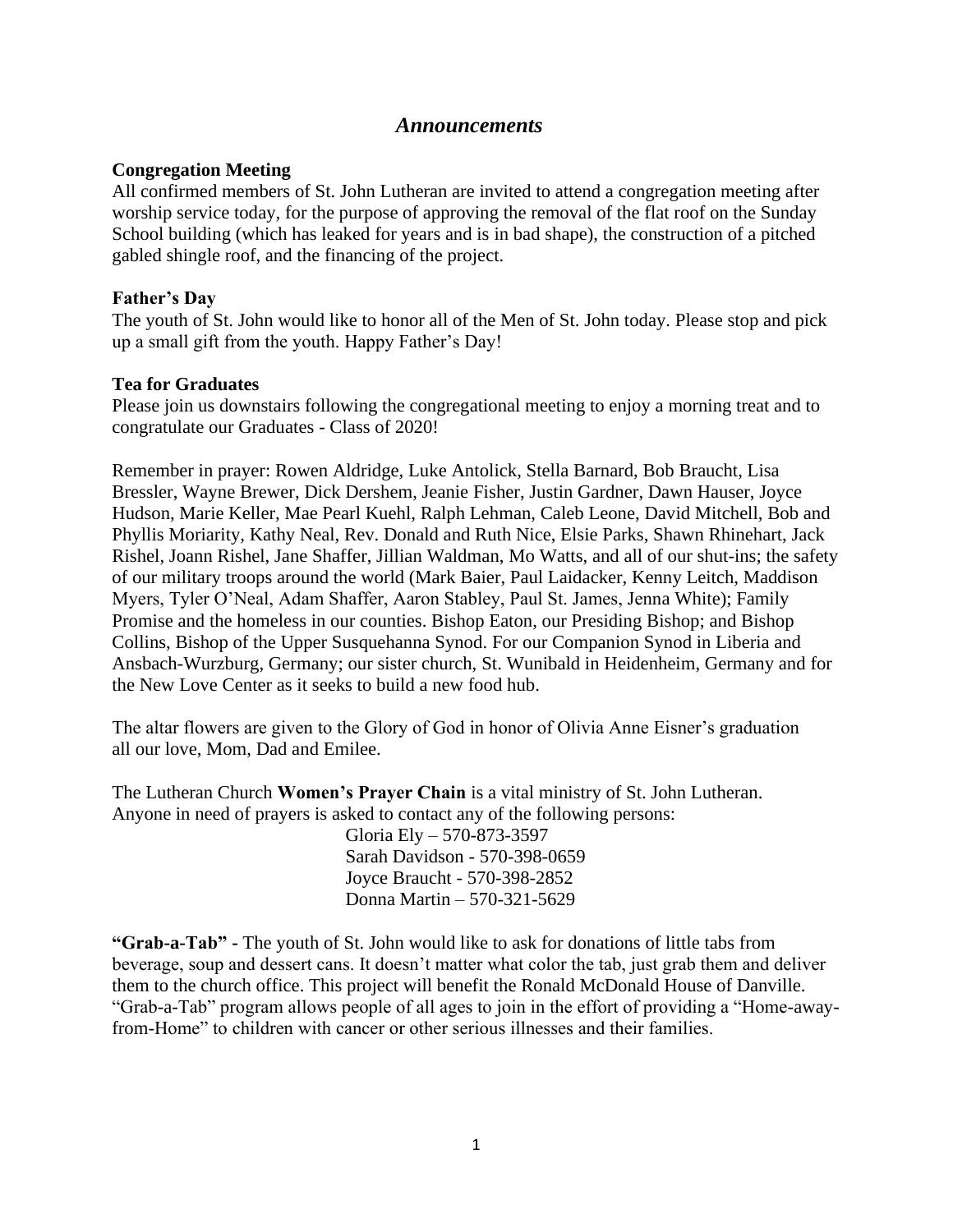### *Announcements*

#### **Congregation Meeting**

All confirmed members of St. John Lutheran are invited to attend a congregation meeting after worship service today, for the purpose of approving the removal of the flat roof on the Sunday School building (which has leaked for years and is in bad shape), the construction of a pitched gabled shingle roof, and the financing of the project.

### **Father's Day**

The youth of St. John would like to honor all of the Men of St. John today. Please stop and pick up a small gift from the youth. Happy Father's Day!

### **Tea for Graduates**

Please join us downstairs following the congregational meeting to enjoy a morning treat and to congratulate our Graduates - Class of 2020!

Remember in prayer: Rowen Aldridge, Luke Antolick, Stella Barnard, Bob Braucht, Lisa Bressler, Wayne Brewer, Dick Dershem, Jeanie Fisher, Justin Gardner, Dawn Hauser, Joyce Hudson, Marie Keller, Mae Pearl Kuehl, Ralph Lehman, Caleb Leone, David Mitchell, Bob and Phyllis Moriarity, Kathy Neal, Rev. Donald and Ruth Nice, Elsie Parks, Shawn Rhinehart, Jack Rishel, Joann Rishel, Jane Shaffer, Jillian Waldman, Mo Watts, and all of our shut-ins; the safety of our military troops around the world (Mark Baier, Paul Laidacker, Kenny Leitch, Maddison Myers, Tyler O'Neal, Adam Shaffer, Aaron Stabley, Paul St. James, Jenna White); Family Promise and the homeless in our counties. Bishop Eaton, our Presiding Bishop; and Bishop Collins, Bishop of the Upper Susquehanna Synod. For our Companion Synod in Liberia and Ansbach-Wurzburg, Germany; our sister church, St. Wunibald in Heidenheim, Germany and for the New Love Center as it seeks to build a new food hub.

The altar flowers are given to the Glory of God in honor of Olivia Anne Eisner's graduation all our love, Mom, Dad and Emilee.

The Lutheran Church **Women's Prayer Chain** is a vital ministry of St. John Lutheran. Anyone in need of prayers is asked to contact any of the following persons:

> Gloria Ely – 570-873-3597 Sarah Davidson - 570-398-0659 Joyce Braucht - 570-398-2852 Donna Martin – 570-321-5629

**"Grab-a-Tab" -** The youth of St. John would like to ask for donations of little tabs from beverage, soup and dessert cans. It doesn't matter what color the tab, just grab them and deliver them to the church office. This project will benefit the Ronald McDonald House of Danville. "Grab-a-Tab" program allows people of all ages to join in the effort of providing a "Home-awayfrom-Home" to children with cancer or other serious illnesses and their families.